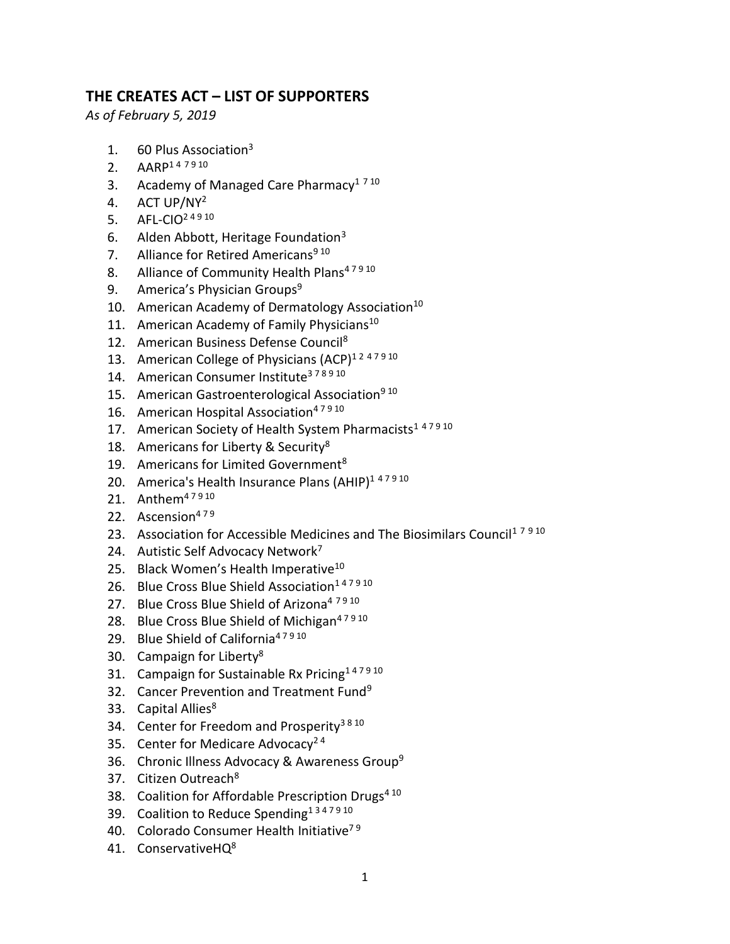## **THE CREATES ACT – LIST OF SUPPORTERS**

*As of February 5, 2019*

- 1. 60 Plus Association<sup>3</sup>
- 2. AARP<sup>147910</sup>
- 3. Academy of Managed Care Pharmacy<sup>1 7 10</sup>
- 4. ACT UP/NY<sup>2</sup>
- 5. AFL-CIO<sup>24910</sup>
- 6. Alden Abbott, Heritage Foundation<sup>3</sup>
- 7. Alliance for Retired Americans<sup>910</sup>
- 8. Alliance of Community Health Plans<sup>47910</sup>
- 9. America's Physician Groups<sup>9</sup>
- 10. American Academy of Dermatology Association<sup>10</sup>
- 11. American Academy of Family Physicians<sup>10</sup>
- 12. American Business Defense Council<sup>8</sup>
- 13. American College of Physicians (ACP)<sup>1247910</sup>
- 14. American Consumer Institute<sup>378910</sup>
- 15. American Gastroenterological Association<sup>9 10</sup>
- 16. American Hospital Association<sup>47910</sup>
- 17. American Society of Health System Pharmacists<sup>147910</sup>
- 18. Americans for Liberty & Security<sup>8</sup>
- 19. Americans for Limited Government<sup>8</sup>
- 20. America's Health Insurance Plans (AHIP)<sup>147910</sup>
- 21. Anthem<sup>47910</sup>
- 22. Ascension $479$
- 23. Association for Accessible Medicines and The Biosimilars Council<sup>17910</sup>
- 24. Autistic Self Advocacy Network<sup>7</sup>
- 25. Black Women's Health Imperative<sup>10</sup>
- 26. Blue Cross Blue Shield Association<sup>147910</sup>
- 27. Blue Cross Blue Shield of Arizona<sup>4 7910</sup>
- 28. Blue Cross Blue Shield of Michigan<sup>47910</sup>
- 29. Blue Shield of California<sup>47910</sup>
- 30. Campaign for Liberty<sup>8</sup>
- 31. Campaign for Sustainable Rx Pricing<sup>147910</sup>
- 32. Cancer Prevention and Treatment Fund<sup>9</sup>
- 33. Capital Allies<sup>8</sup>
- 34. Center for Freedom and Prosperity<sup>3810</sup>
- 35. Center for Medicare Advocacy<sup>24</sup>
- 36. Chronic Illness Advocacy & Awareness Group<sup>9</sup>
- 37. Citizen Outreach<sup>8</sup>
- 38. Coalition for Affordable Prescription Drugs<sup>410</sup>
- 39. Coalition to Reduce Spending<sup>1347910</sup>
- 40. Colorado Consumer Health Initiative<sup>79</sup>
- 41. ConservativeHO<sup>8</sup>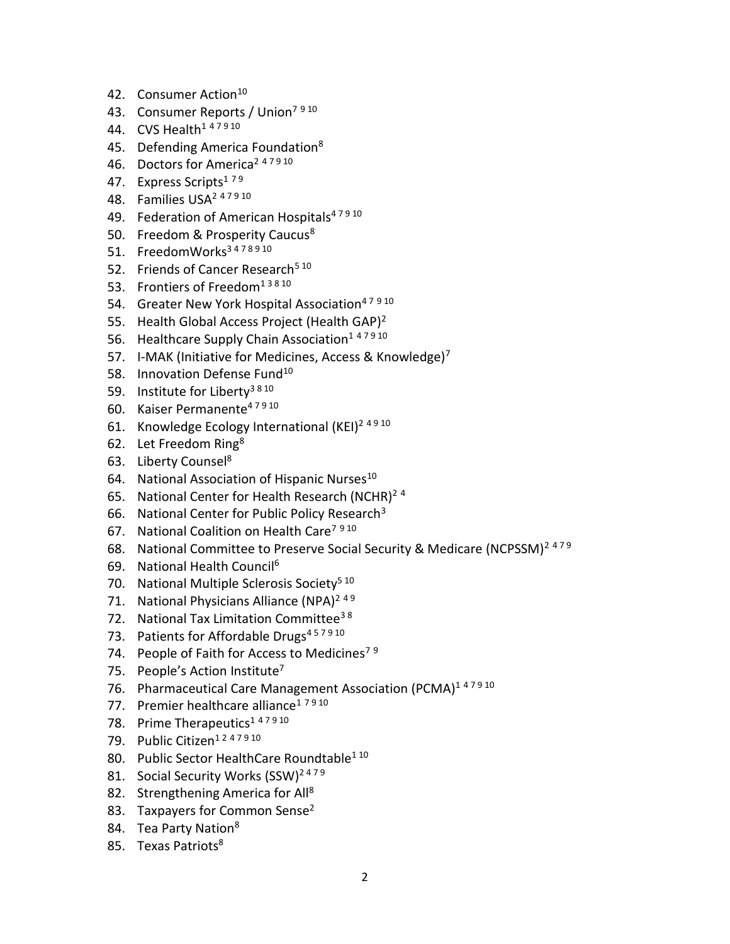- 42. Consumer Action<sup>10</sup>
- 43. Consumer Reports / Union<sup>7 9 10</sup>
- 44. CVS Health<sup>1 47910</sup>
- 45. Defending America Foundation<sup>8</sup>
- 46. Doctors for America<sup>2 47910</sup>
- 47. Express Scripts<sup>179</sup>
- 48. Families USA<sup>2</sup> <sup>4</sup> <sup>7</sup> <sup>9</sup> <sup>10</sup>
- 49. Federation of American Hospitals<sup>47910</sup>
- 50. Freedom & Prosperity Caucus<sup>8</sup>
- 51. FreedomWorks<sup>3478910</sup>
- 52. Friends of Cancer Research<sup>5 10</sup>
- 53. Frontiers of Freedom<sup>13810</sup>
- 54. Greater New York Hospital Association<sup>47910</sup>
- 55. Health Global Access Project (Health GAP)<sup>2</sup>
- 56. Healthcare Supply Chain Association<sup>147910</sup>
- 57. I-MAK (Initiative for Medicines, Access & Knowledge)<sup>7</sup>
- 58. Innovation Defense Fund<sup>10</sup>
- 59. Institute for Liberty<sup>3810</sup>
- 60. Kaiser Permanente<sup>47910</sup>
- 61. Knowledge Ecology International (KEI)<sup>2 4 9 10</sup>
- 62. Let Freedom Ring<sup>8</sup>
- 63. Liberty Counsel<sup>8</sup>
- 64. National Association of Hispanic Nurses<sup>10</sup>
- 65. National Center for Health Research (NCHR)<sup>24</sup>
- 66. National Center for Public Policy Research<sup>3</sup>
- 67. National Coalition on Health Care<sup>7 9 10</sup>
- 68. National Committee to Preserve Social Security & Medicare (NCPSSM)<sup>2479</sup>
- 69. National Health Council<sup>6</sup>
- 70. National Multiple Sclerosis Society<sup>5 10</sup>
- 71. National Physicians Alliance (NPA)<sup>249</sup>
- 72. National Tax Limitation Committee<sup>38</sup>
- 73. Patients for Affordable Drugs<sup>457910</sup>
- 74. People of Faith for Access to Medicines<sup>79</sup>
- 75. People's Action Institute<sup>7</sup>
- 76. Pharmaceutical Care Management Association (PCMA)<sup>147910</sup>
- 77. Premier healthcare alliance<sup>17910</sup>
- 78. Prime Therapeutics<sup>147910</sup>
- 79. Public Citizen<sup>1247910</sup>
- 80. Public Sector HealthCare Roundtable<sup>1 10</sup>
- 81. Social Security Works (SSW)<sup>2479</sup>
- 82. Strengthening America for All<sup>8</sup>
- 83. Taxpayers for Common Sense<sup>2</sup>
- 84. Tea Party Nation<sup>8</sup>
- 85. Texas Patriots<sup>8</sup>